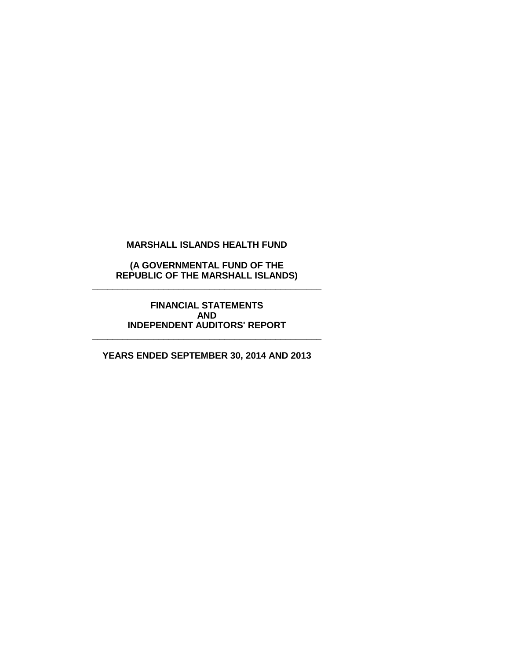**(A GOVERNMENTAL FUND OF THE REPUBLIC OF THE MARSHALL ISLANDS) \_\_\_\_\_\_\_\_\_\_\_\_\_\_\_\_\_\_\_\_\_\_\_\_\_\_\_\_\_\_\_\_\_\_\_\_\_\_\_\_\_\_\_\_\_**

> **FINANCIAL STATEMENTS AND INDEPENDENT AUDITORS' REPORT**

**\_\_\_\_\_\_\_\_\_\_\_\_\_\_\_\_\_\_\_\_\_\_\_\_\_\_\_\_\_\_\_\_\_\_\_\_\_\_\_\_\_\_\_\_\_**

**YEARS ENDED SEPTEMBER 30, 2014 AND 2013**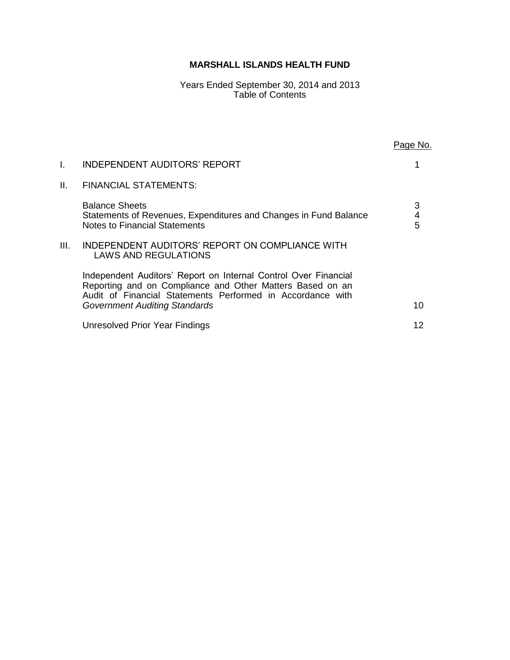Years Ended September 30, 2014 and 2013 Table of Contents

|      |                                                                                                                                                                                            | Page No.    |
|------|--------------------------------------------------------------------------------------------------------------------------------------------------------------------------------------------|-------------|
| I.   | INDEPENDENT AUDITORS' REPORT                                                                                                                                                               |             |
| II.  | <b>FINANCIAL STATEMENTS:</b>                                                                                                                                                               |             |
|      | <b>Balance Sheets</b><br>Statements of Revenues, Expenditures and Changes in Fund Balance<br><b>Notes to Financial Statements</b>                                                          | 3<br>4<br>5 |
| III. | INDEPENDENT AUDITORS' REPORT ON COMPLIANCE WITH<br>LAWS AND REGULATIONS                                                                                                                    |             |
|      | Independent Auditors' Report on Internal Control Over Financial<br>Reporting and on Compliance and Other Matters Based on an<br>Audit of Financial Statements Performed in Accordance with |             |
|      | <b>Government Auditing Standards</b>                                                                                                                                                       | 10          |
|      | Unresolved Prior Year Findings                                                                                                                                                             | 12          |
|      |                                                                                                                                                                                            |             |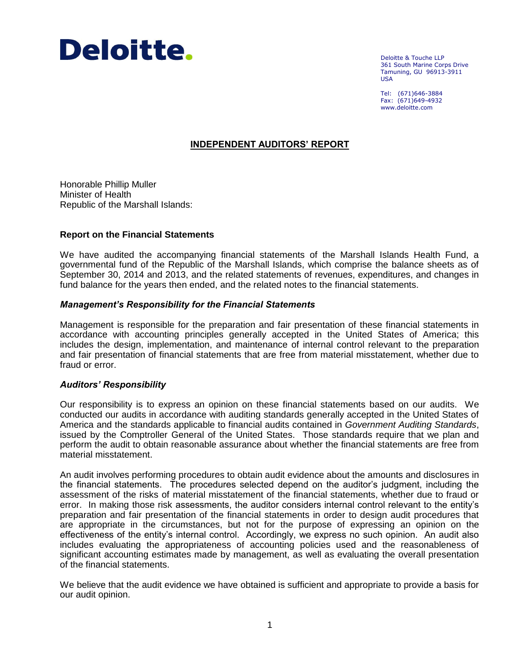

Deloitte & Touche LLP 361 South Marine Corps Drive Tamuning, GU 96913-3911 USA

Tel: (671)646-3884 Fax: (671)649-4932 www.deloitte.com

# **INDEPENDENT AUDITORS' REPORT**

Honorable Phillip Muller Minister of Health Republic of the Marshall Islands:

### **Report on the Financial Statements**

We have audited the accompanying financial statements of the Marshall Islands Health Fund, a governmental fund of the Republic of the Marshall Islands, which comprise the balance sheets as of September 30, 2014 and 2013, and the related statements of revenues, expenditures, and changes in fund balance for the years then ended, and the related notes to the financial statements.

### *Management's Responsibility for the Financial Statements*

Management is responsible for the preparation and fair presentation of these financial statements in accordance with accounting principles generally accepted in the United States of America; this includes the design, implementation, and maintenance of internal control relevant to the preparation and fair presentation of financial statements that are free from material misstatement, whether due to fraud or error.

#### *Auditors' Responsibility*

Our responsibility is to express an opinion on these financial statements based on our audits. We conducted our audits in accordance with auditing standards generally accepted in the United States of America and the standards applicable to financial audits contained in *Government Auditing Standards*, issued by the Comptroller General of the United States. Those standards require that we plan and perform the audit to obtain reasonable assurance about whether the financial statements are free from material misstatement.

An audit involves performing procedures to obtain audit evidence about the amounts and disclosures in the financial statements. The procedures selected depend on the auditor's judgment, including the assessment of the risks of material misstatement of the financial statements, whether due to fraud or error. In making those risk assessments, the auditor considers internal control relevant to the entity's preparation and fair presentation of the financial statements in order to design audit procedures that are appropriate in the circumstances, but not for the purpose of expressing an opinion on the effectiveness of the entity's internal control. Accordingly, we express no such opinion. An audit also includes evaluating the appropriateness of accounting policies used and the reasonableness of significant accounting estimates made by management, as well as evaluating the overall presentation of the financial statements.

We believe that the audit evidence we have obtained is sufficient and appropriate to provide a basis for our audit opinion.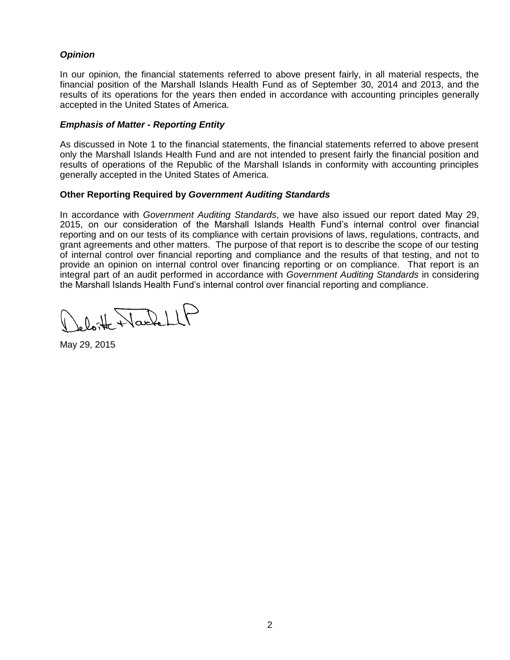# *Opinion*

In our opinion, the financial statements referred to above present fairly, in all material respects, the financial position of the Marshall Islands Health Fund as of September 30, 2014 and 2013, and the results of its operations for the years then ended in accordance with accounting principles generally accepted in the United States of America.

# *Emphasis of Matter - Reporting Entity*

As discussed in Note 1 to the financial statements, the financial statements referred to above present only the Marshall Islands Health Fund and are not intended to present fairly the financial position and results of operations of the Republic of the Marshall Islands in conformity with accounting principles generally accepted in the United States of America.

# **Other Reporting Required by** *Government Auditing Standards*

In accordance with *Government Auditing Standards*, we have also issued our report dated May 29, 2015, on our consideration of the Marshall Islands Health Fund's internal control over financial reporting and on our tests of its compliance with certain provisions of laws, regulations, contracts, and grant agreements and other matters. The purpose of that report is to describe the scope of our testing of internal control over financial reporting and compliance and the results of that testing, and not to provide an opinion on internal control over financing reporting or on compliance. That report is an integral part of an audit performed in accordance with *Government Auditing Standards* in considering the Marshall Islands Health Fund's internal control over financial reporting and compliance.

loite Harlett

May 29, 2015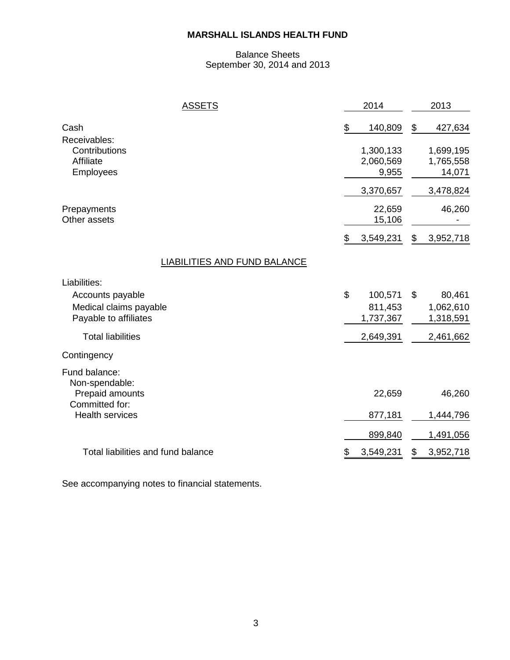# Balance Sheets September 30, 2014 and 2013

| <b>ASSETS</b>                                                                       | 2014                                  | 2013                                   |
|-------------------------------------------------------------------------------------|---------------------------------------|----------------------------------------|
| Cash                                                                                | \$<br>140,809                         | \$<br>427,634                          |
| Receivables:<br>Contributions<br>Affiliate<br><b>Employees</b>                      | 1,300,133<br>2,060,569<br>9,955       | 1,699,195<br>1,765,558<br>14,071       |
|                                                                                     | 3,370,657                             | 3,478,824                              |
| Prepayments<br>Other assets                                                         | 22,659<br>15,106                      | 46,260                                 |
|                                                                                     | \$<br>3,549,231                       | \$<br>3,952,718                        |
| <b>LIABILITIES AND FUND BALANCE</b>                                                 |                                       |                                        |
| Liabilities:<br>Accounts payable<br>Medical claims payable<br>Payable to affiliates | \$<br>100,571<br>811,453<br>1,737,367 | \$<br>80,461<br>1,062,610<br>1,318,591 |
| <b>Total liabilities</b>                                                            | 2,649,391                             | 2,461,662                              |
| Contingency                                                                         |                                       |                                        |
| Fund balance:<br>Non-spendable:<br>Prepaid amounts                                  | 22,659                                | 46,260                                 |
| Committed for:<br><b>Health services</b>                                            | 877,181                               | 1,444,796                              |
|                                                                                     | 899,840                               | 1,491,056                              |
| Total liabilities and fund balance                                                  | \$<br>3,549,231                       | \$<br>3,952,718                        |

See accompanying notes to financial statements.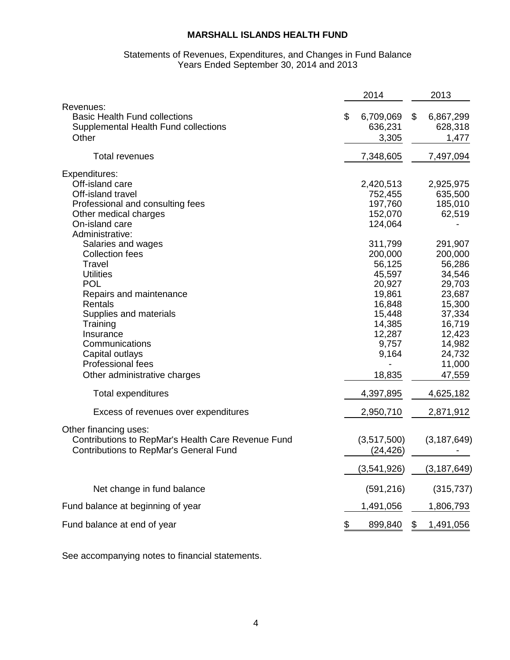### Statements of Revenues, Expenditures, and Changes in Fund Balance Years Ended September 30, 2014 and 2013

|                                                                                                                                                                                                                                           | 2014                                                                                                                 | 2013                                                                                                                   |
|-------------------------------------------------------------------------------------------------------------------------------------------------------------------------------------------------------------------------------------------|----------------------------------------------------------------------------------------------------------------------|------------------------------------------------------------------------------------------------------------------------|
| Revenues:<br><b>Basic Health Fund collections</b><br>Supplemental Health Fund collections<br>Other                                                                                                                                        | \$<br>6,709,069<br>636,231<br>3,305                                                                                  | \$<br>6,867,299<br>628,318<br>1,477                                                                                    |
| <b>Total revenues</b>                                                                                                                                                                                                                     | 7,348,605                                                                                                            | 7,497,094                                                                                                              |
| Expenditures:<br>Off-island care<br>Off-island travel<br>Professional and consulting fees<br>Other medical charges<br>On-island care                                                                                                      | 2,420,513<br>752,455<br>197,760<br>152,070<br>124,064                                                                | 2,925,975<br>635,500<br>185,010<br>62,519                                                                              |
| Administrative:<br>Salaries and wages<br><b>Collection fees</b><br>Travel<br><b>Utilities</b><br><b>POL</b><br>Repairs and maintenance<br>Rentals<br>Supplies and materials<br>Training<br>Insurance<br>Communications<br>Capital outlays | 311,799<br>200,000<br>56,125<br>45,597<br>20,927<br>19,861<br>16,848<br>15,448<br>14,385<br>12,287<br>9,757<br>9,164 | 291,907<br>200,000<br>56,286<br>34,546<br>29,703<br>23,687<br>15,300<br>37,334<br>16,719<br>12,423<br>14,982<br>24,732 |
| Professional fees<br>Other administrative charges                                                                                                                                                                                         | 18,835                                                                                                               | 11,000<br>47,559                                                                                                       |
| <b>Total expenditures</b>                                                                                                                                                                                                                 | 4,397,895                                                                                                            | 4,625,182                                                                                                              |
| Excess of revenues over expenditures                                                                                                                                                                                                      | 2,950,710                                                                                                            | 2,871,912                                                                                                              |
| Other financing uses:<br>Contributions to RepMar's Health Care Revenue Fund<br><b>Contributions to RepMar's General Fund</b>                                                                                                              | (3,517,500)<br>(24,426)                                                                                              | (3, 187, 649)                                                                                                          |
|                                                                                                                                                                                                                                           | (3,541,926)                                                                                                          | (3, 187, 649)                                                                                                          |
| Net change in fund balance                                                                                                                                                                                                                | (591, 216)                                                                                                           | (315, 737)                                                                                                             |
| Fund balance at beginning of year                                                                                                                                                                                                         | 1,491,056                                                                                                            | 1,806,793                                                                                                              |
| Fund balance at end of year                                                                                                                                                                                                               | \$<br>899,840                                                                                                        | \$<br>1,491,056                                                                                                        |

See accompanying notes to financial statements.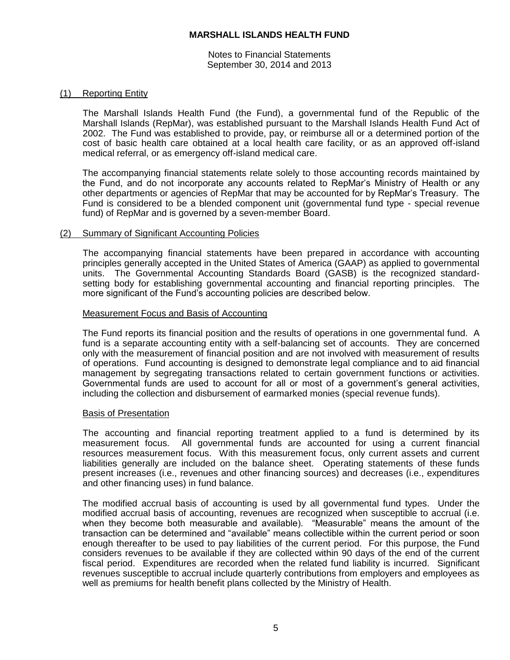Notes to Financial Statements September 30, 2014 and 2013

### (1) Reporting Entity

The Marshall Islands Health Fund (the Fund), a governmental fund of the Republic of the Marshall Islands (RepMar), was established pursuant to the Marshall Islands Health Fund Act of 2002. The Fund was established to provide, pay, or reimburse all or a determined portion of the cost of basic health care obtained at a local health care facility, or as an approved off-island medical referral, or as emergency off-island medical care.

The accompanying financial statements relate solely to those accounting records maintained by the Fund, and do not incorporate any accounts related to RepMar's Ministry of Health or any other departments or agencies of RepMar that may be accounted for by RepMar's Treasury. The Fund is considered to be a blended component unit (governmental fund type - special revenue fund) of RepMar and is governed by a seven-member Board.

### (2) Summary of Significant Accounting Policies

The accompanying financial statements have been prepared in accordance with accounting principles generally accepted in the United States of America (GAAP) as applied to governmental units. The Governmental Accounting Standards Board (GASB) is the recognized standardsetting body for establishing governmental accounting and financial reporting principles. The more significant of the Fund's accounting policies are described below.

### Measurement Focus and Basis of Accounting

The Fund reports its financial position and the results of operations in one governmental fund. A fund is a separate accounting entity with a self-balancing set of accounts. They are concerned only with the measurement of financial position and are not involved with measurement of results of operations. Fund accounting is designed to demonstrate legal compliance and to aid financial management by segregating transactions related to certain government functions or activities. Governmental funds are used to account for all or most of a government's general activities, including the collection and disbursement of earmarked monies (special revenue funds).

#### Basis of Presentation

The accounting and financial reporting treatment applied to a fund is determined by its measurement focus. All governmental funds are accounted for using a current financial resources measurement focus. With this measurement focus, only current assets and current liabilities generally are included on the balance sheet. Operating statements of these funds present increases (i.e., revenues and other financing sources) and decreases (i.e., expenditures and other financing uses) in fund balance.

The modified accrual basis of accounting is used by all governmental fund types. Under the modified accrual basis of accounting, revenues are recognized when susceptible to accrual (i.e. when they become both measurable and available). "Measurable" means the amount of the transaction can be determined and "available" means collectible within the current period or soon enough thereafter to be used to pay liabilities of the current period. For this purpose, the Fund considers revenues to be available if they are collected within 90 days of the end of the current fiscal period. Expenditures are recorded when the related fund liability is incurred. Significant revenues susceptible to accrual include quarterly contributions from employers and employees as well as premiums for health benefit plans collected by the Ministry of Health.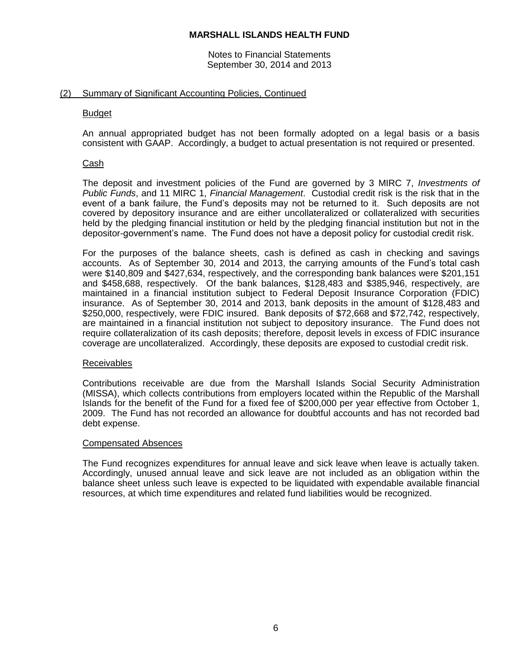Notes to Financial Statements September 30, 2014 and 2013

### (2) Summary of Significant Accounting Policies, Continued

## Budget

An annual appropriated budget has not been formally adopted on a legal basis or a basis consistent with GAAP. Accordingly, a budget to actual presentation is not required or presented.

# Cash

The deposit and investment policies of the Fund are governed by 3 MIRC 7, *Investments of Public Funds*, and 11 MIRC 1, *Financial Management*. Custodial credit risk is the risk that in the event of a bank failure, the Fund's deposits may not be returned to it. Such deposits are not covered by depository insurance and are either uncollateralized or collateralized with securities held by the pledging financial institution or held by the pledging financial institution but not in the depositor-government's name. The Fund does not have a deposit policy for custodial credit risk.

For the purposes of the balance sheets, cash is defined as cash in checking and savings accounts. As of September 30, 2014 and 2013, the carrying amounts of the Fund's total cash were \$140,809 and \$427,634, respectively, and the corresponding bank balances were \$201,151 and \$458,688, respectively. Of the bank balances, \$128,483 and \$385,946, respectively, are maintained in a financial institution subject to Federal Deposit Insurance Corporation (FDIC) insurance. As of September 30, 2014 and 2013, bank deposits in the amount of \$128,483 and \$250,000, respectively, were FDIC insured. Bank deposits of \$72,668 and \$72,742, respectively, are maintained in a financial institution not subject to depository insurance. The Fund does not require collateralization of its cash deposits; therefore, deposit levels in excess of FDIC insurance coverage are uncollateralized. Accordingly, these deposits are exposed to custodial credit risk.

### Receivables

Contributions receivable are due from the Marshall Islands Social Security Administration (MISSA), which collects contributions from employers located within the Republic of the Marshall Islands for the benefit of the Fund for a fixed fee of \$200,000 per year effective from October 1, 2009. The Fund has not recorded an allowance for doubtful accounts and has not recorded bad debt expense.

### Compensated Absences

The Fund recognizes expenditures for annual leave and sick leave when leave is actually taken. Accordingly, unused annual leave and sick leave are not included as an obligation within the balance sheet unless such leave is expected to be liquidated with expendable available financial resources, at which time expenditures and related fund liabilities would be recognized.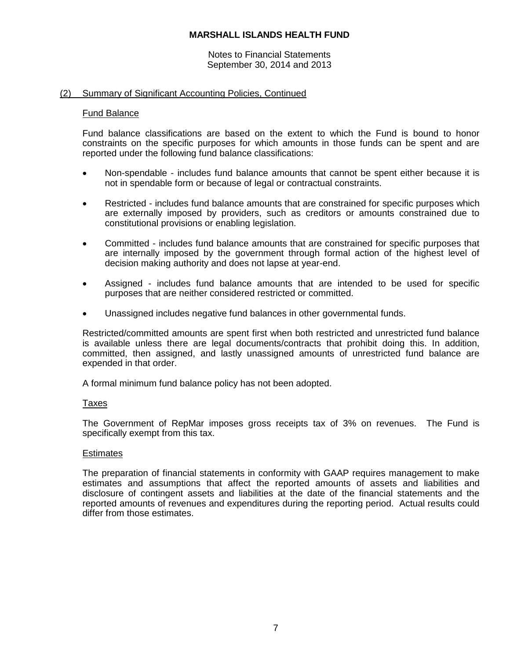Notes to Financial Statements September 30, 2014 and 2013

### (2) Summary of Significant Accounting Policies, Continued

### Fund Balance

Fund balance classifications are based on the extent to which the Fund is bound to honor constraints on the specific purposes for which amounts in those funds can be spent and are reported under the following fund balance classifications:

- Non-spendable includes fund balance amounts that cannot be spent either because it is not in spendable form or because of legal or contractual constraints.
- Restricted includes fund balance amounts that are constrained for specific purposes which are externally imposed by providers, such as creditors or amounts constrained due to constitutional provisions or enabling legislation.
- Committed includes fund balance amounts that are constrained for specific purposes that are internally imposed by the government through formal action of the highest level of decision making authority and does not lapse at year-end.
- Assigned includes fund balance amounts that are intended to be used for specific purposes that are neither considered restricted or committed.
- Unassigned includes negative fund balances in other governmental funds.

Restricted/committed amounts are spent first when both restricted and unrestricted fund balance is available unless there are legal documents/contracts that prohibit doing this. In addition, committed, then assigned, and lastly unassigned amounts of unrestricted fund balance are expended in that order.

A formal minimum fund balance policy has not been adopted.

### **Taxes**

The Government of RepMar imposes gross receipts tax of 3% on revenues. The Fund is specifically exempt from this tax.

### **Estimates**

The preparation of financial statements in conformity with GAAP requires management to make estimates and assumptions that affect the reported amounts of assets and liabilities and disclosure of contingent assets and liabilities at the date of the financial statements and the reported amounts of revenues and expenditures during the reporting period. Actual results could differ from those estimates.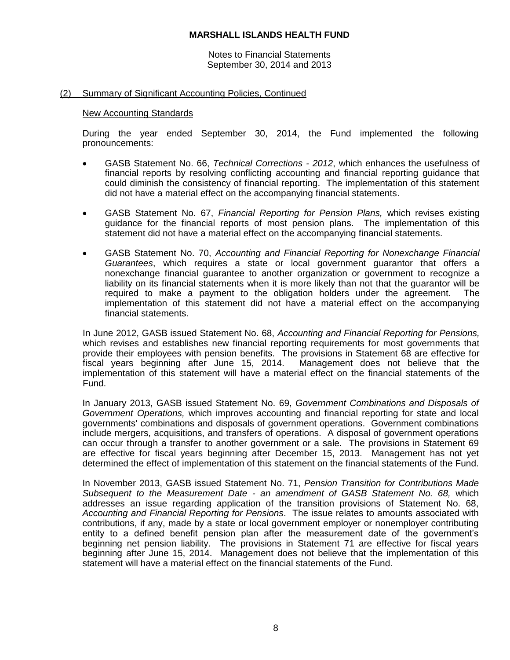Notes to Financial Statements September 30, 2014 and 2013

### (2) Summary of Significant Accounting Policies, Continued

#### New Accounting Standards

During the year ended September 30, 2014, the Fund implemented the following pronouncements:

- GASB Statement No. 66, *Technical Corrections - 2012*, which enhances the usefulness of financial reports by resolving conflicting accounting and financial reporting guidance that could diminish the consistency of financial reporting. The implementation of this statement did not have a material effect on the accompanying financial statements.
- GASB Statement No. 67, *Financial Reporting for Pension Plans,* which revises existing guidance for the financial reports of most pension plans. The implementation of this statement did not have a material effect on the accompanying financial statements.
- GASB Statement No. 70, *Accounting and Financial Reporting for Nonexchange Financial Guarantees*, which requires a state or local government guarantor that offers a nonexchange financial guarantee to another organization or government to recognize a liability on its financial statements when it is more likely than not that the guarantor will be required to make a payment to the obligation holders under the agreement. The implementation of this statement did not have a material effect on the accompanying financial statements.

In June 2012, GASB issued Statement No. 68, *Accounting and Financial Reporting for Pensions,*  which revises and establishes new financial reporting requirements for most governments that provide their employees with pension benefits. The provisions in Statement 68 are effective for fiscal years beginning after June 15, 2014. Management does not believe that the implementation of this statement will have a material effect on the financial statements of the Fund.

In January 2013, GASB issued Statement No. 69, *Government Combinations and Disposals of Government Operations,* which improves accounting and financial reporting for state and local governments' combinations and disposals of government operations. Government combinations include mergers, acquisitions, and transfers of operations. A disposal of government operations can occur through a transfer to another government or a sale. The provisions in Statement 69 are effective for fiscal years beginning after December 15, 2013. Management has not yet determined the effect of implementation of this statement on the financial statements of the Fund.

In November 2013, GASB issued Statement No. 71, *Pension Transition for Contributions Made Subsequent to the Measurement Date - an amendment of GASB Statement No. 68,* which addresses an issue regarding application of the transition provisions of Statement No. 68, *Accounting and Financial Reporting for Pensions*. The issue relates to amounts associated with contributions, if any, made by a state or local government employer or nonemployer contributing entity to a defined benefit pension plan after the measurement date of the government's beginning net pension liability. The provisions in Statement 71 are effective for fiscal years beginning after June 15, 2014. Management does not believe that the implementation of this statement will have a material effect on the financial statements of the Fund.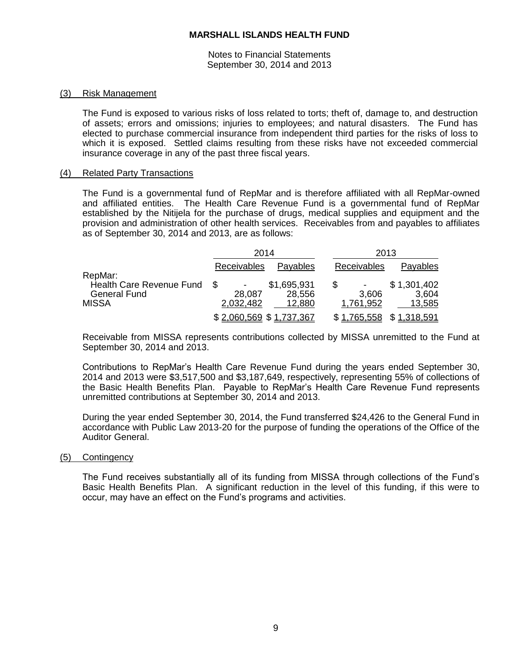Notes to Financial Statements September 30, 2014 and 2013

### (3) Risk Management

The Fund is exposed to various risks of loss related to torts; theft of, damage to, and destruction of assets; errors and omissions; injuries to employees; and natural disasters. The Fund has elected to purchase commercial insurance from independent third parties for the risks of loss to which it is exposed. Settled claims resulting from these risks have not exceeded commercial insurance coverage in any of the past three fiscal years.

### (4) Related Party Transactions

The Fund is a governmental fund of RepMar and is therefore affiliated with all RepMar-owned and affiliated entities. The Health Care Revenue Fund is a governmental fund of RepMar established by the Nitijela for the purchase of drugs, medical supplies and equipment and the provision and administration of other health services. Receivables from and payables to affiliates as of September 30, 2014 and 2013, are as follows:

|                                                                    | 2014                    |                                 | 2013 |                    |                                |
|--------------------------------------------------------------------|-------------------------|---------------------------------|------|--------------------|--------------------------------|
| RepMar:                                                            | Receivables             | Payables                        |      | Receivables        | Payables                       |
| Health Care Revenue Fund \$<br><b>General Fund</b><br><b>MISSA</b> | 28,087<br>2,032,482     | \$1,695,931<br>28,556<br>12,880 |      | 3,606<br>1,761,952 | \$1,301,402<br>3,604<br>13,585 |
|                                                                    | \$2,060,569 \$1,737,367 |                                 |      | \$1,765,558        | \$1,318,591                    |

Receivable from MISSA represents contributions collected by MISSA unremitted to the Fund at September 30, 2014 and 2013.

Contributions to RepMar's Health Care Revenue Fund during the years ended September 30, 2014 and 2013 were \$3,517,500 and \$3,187,649, respectively, representing 55% of collections of the Basic Health Benefits Plan. Payable to RepMar's Health Care Revenue Fund represents unremitted contributions at September 30, 2014 and 2013.

During the year ended September 30, 2014, the Fund transferred \$24,426 to the General Fund in accordance with Public Law 2013-20 for the purpose of funding the operations of the Office of the Auditor General.

### (5) Contingency

The Fund receives substantially all of its funding from MISSA through collections of the Fund's Basic Health Benefits Plan. A significant reduction in the level of this funding, if this were to occur, may have an effect on the Fund's programs and activities.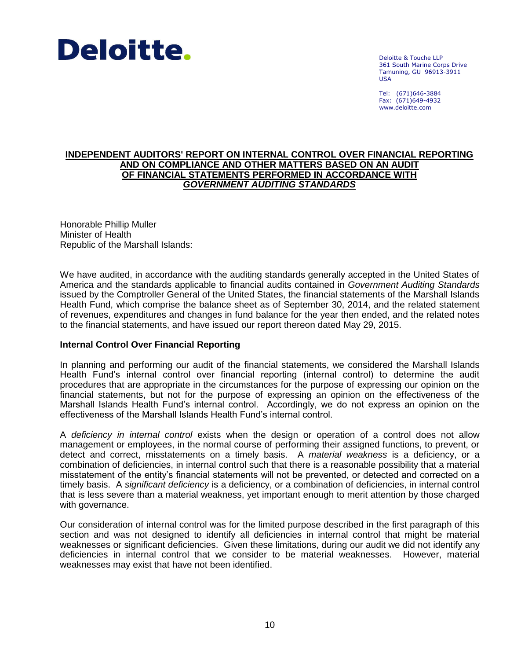

Deloitte & Touche LLP 361 South Marine Corps Drive Tamuning, GU 96913-3911 USA

Tel: (671)646-3884 Fax: (671)649-4932 www.deloitte.com

### **INDEPENDENT AUDITORS' REPORT ON INTERNAL CONTROL OVER FINANCIAL REPORTING AND ON COMPLIANCE AND OTHER MATTERS BASED ON AN AUDIT OF FINANCIAL STATEMENTS PERFORMED IN ACCORDANCE WITH** *GOVERNMENT AUDITING STANDARDS*

Honorable Phillip Muller Minister of Health Republic of the Marshall Islands:

We have audited, in accordance with the auditing standards generally accepted in the United States of America and the standards applicable to financial audits contained in *Government Auditing Standards* issued by the Comptroller General of the United States, the financial statements of the Marshall Islands Health Fund, which comprise the balance sheet as of September 30, 2014, and the related statement of revenues, expenditures and changes in fund balance for the year then ended, and the related notes to the financial statements, and have issued our report thereon dated May 29, 2015.

### **Internal Control Over Financial Reporting**

In planning and performing our audit of the financial statements, we considered the Marshall Islands Health Fund's internal control over financial reporting (internal control) to determine the audit procedures that are appropriate in the circumstances for the purpose of expressing our opinion on the financial statements, but not for the purpose of expressing an opinion on the effectiveness of the Marshall Islands Health Fund's internal control. Accordingly, we do not express an opinion on the effectiveness of the Marshall Islands Health Fund's internal control.

A *deficiency in internal control* exists when the design or operation of a control does not allow management or employees, in the normal course of performing their assigned functions, to prevent, or detect and correct, misstatements on a timely basis. A *material weakness* is a deficiency, or a combination of deficiencies, in internal control such that there is a reasonable possibility that a material misstatement of the entity's financial statements will not be prevented, or detected and corrected on a timely basis. A *significant deficiency* is a deficiency, or a combination of deficiencies, in internal control that is less severe than a material weakness, yet important enough to merit attention by those charged with governance.

Our consideration of internal control was for the limited purpose described in the first paragraph of this section and was not designed to identify all deficiencies in internal control that might be material weaknesses or significant deficiencies. Given these limitations, during our audit we did not identify any deficiencies in internal control that we consider to be material weaknesses. However, material weaknesses may exist that have not been identified.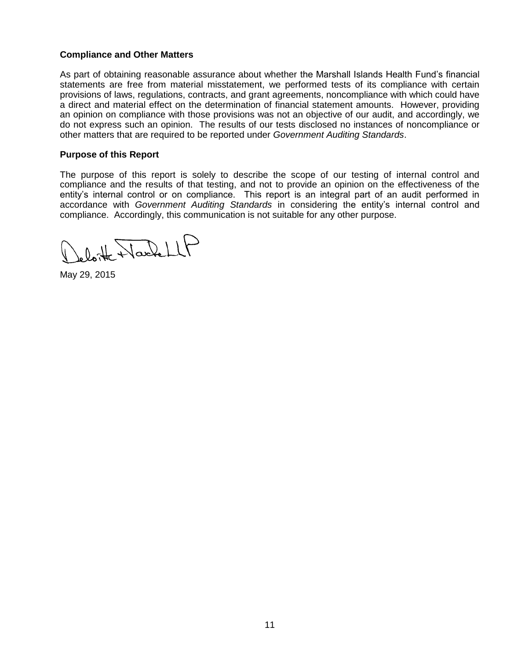## **Compliance and Other Matters**

As part of obtaining reasonable assurance about whether the Marshall Islands Health Fund's financial statements are free from material misstatement, we performed tests of its compliance with certain provisions of laws, regulations, contracts, and grant agreements, noncompliance with which could have a direct and material effect on the determination of financial statement amounts. However, providing an opinion on compliance with those provisions was not an objective of our audit, and accordingly, we do not express such an opinion. The results of our tests disclosed no instances of noncompliance or other matters that are required to be reported under *Government Auditing Standards*.

### **Purpose of this Report**

The purpose of this report is solely to describe the scope of our testing of internal control and compliance and the results of that testing, and not to provide an opinion on the effectiveness of the entity's internal control or on compliance. This report is an integral part of an audit performed in accordance with *Government Auditing Standards* in considering the entity's internal control and compliance. Accordingly, this communication is not suitable for any other purpose.

lette Harlett

May 29, 2015